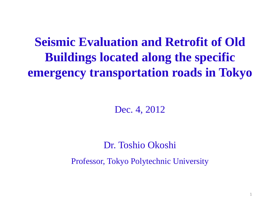# **Seismic Evaluation and Retrofit of Old Buildings located along the specific emergency transportation roads in Tokyo**

Dec. 4, 2012

#### Dr. Toshio Okoshi

Professor, Tokyo Polytechnic University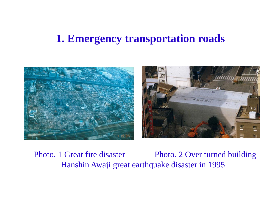### **1. Emergency transportation roads**



Photo. 1 Great fire disaster Photo. 2 Over turned building Hanshin Awaji great earthquake disaster in 1995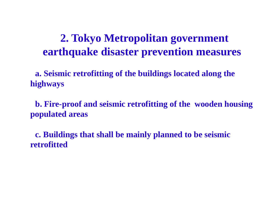## **2. Tokyo Metropolitan government earthquake disaster prevention measures**

**a. Seismic retrofitting of the buildings located along the highways**

**b. Fire-proof and seismic retrofitting of the wooden housing populated areas**

**c. Buildings that shall be mainly planned to be seismic retrofitted**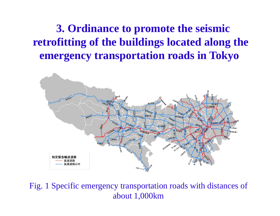**3. Ordinance to promote the seismic retrofitting of the buildings located along the emergency transportation roads in Tokyo**



Fig. 1 Specific emergency transportation roads with distances of about 1,000km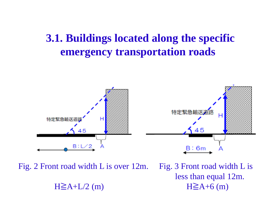# **3.1. Buildings located along the specific emergency transportation roads**



Fig. 2 Front road width L is over 12m. Fig. 3 Front road width L is  $H \ge A + L/2$  (m) H

less than equal 12m.  $H \geq A+6$  (m)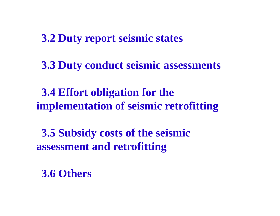**3.2 Duty report seismic states**

**3.3 Duty conduct seismic assessments** 

**3.4 Effort obligation for the implementation of seismic retrofitting**

**3.5 Subsidy costs of the seismic assessment and retrofitting**

**3.6 Others**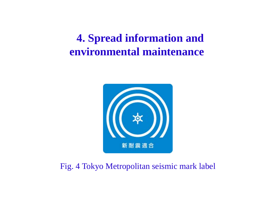# **4. Spread information and environmental maintenance**



#### Fig. 4 Tokyo Metropolitan seismic mark label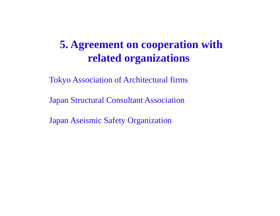# **5. Agreement on cooperation with related organizations**

Tokyo Association of Architectural firms

Japan Structural Consultant Association

Japan Aseismic Safety Organization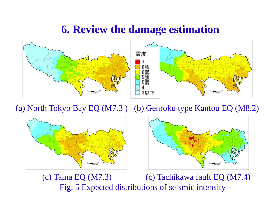### **6. Review the damage estimation**



(a) North Tokyo Bay EQ (M7.3 ) (b) Genroku type Kantou EQ (M8.2)





(c) Tama EQ (M7.3) (c) Tachikawa fault EQ (M7.4) Fig. 5 Expected distributions of seismic intensity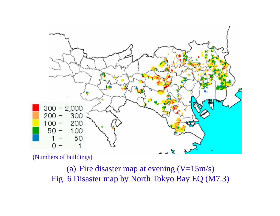

(Numbers of buildings)

(a) Fire disaster map at evening  $(V=15m/s)$ Fig. 6 Disaster map by North Tokyo Bay EQ (M7.3)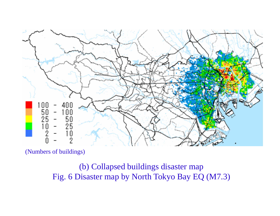

(Numbers of buildings)

(b) Collapsed buildings disaster map Fig. 6 Disaster map by North Tokyo Bay EQ (M7.3)